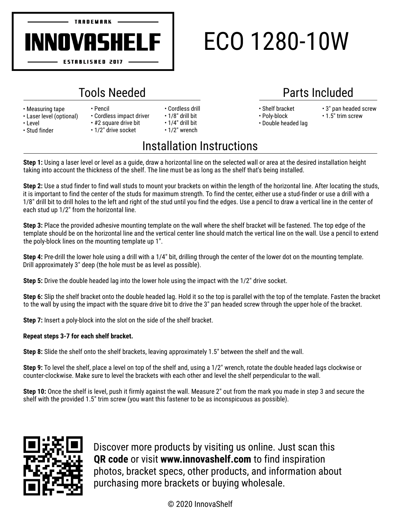

## ECO 1280-10W

## Tools Needed Parts Included

• 1/2" drive socket

- Measuring tape
- Laser level (optional)
- Level
- Stud finder
- Pencil • Cordless impact driver
- #2 square drive bit
- 1/8" drill bit • 1/4" drill bit

• Cordless drill

• 1/2" wrench

- 
- Shelf bracket • Poly-block
- Double headed lag
- 3" pan headed screw
- 
- 
- 
- 
- 
- 
- 
- 
- 
- 
- 1.5" trim screw

## Installation Instructions

**Step 1:** Using a laser level or level as a guide, draw a horizontal line on the selected wall or area at the desired installation height taking into account the thickness of the shelf. The line must be as long as the shelf that's being installed.

**Step 2:** Use a stud finder to find wall studs to mount your brackets on within the length of the horizontal line. After locating the studs, it is important to find the center of the studs for maximum strength. To find the center, either use a stud-finder or use a drill with a 1/8" drill bit to drill holes to the left and right of the stud until you find the edges. Use a pencil to draw a vertical line in the center of each stud up 1/2" from the horizontal line.

**Step 3:** Place the provided adhesive mounting template on the wall where the shelf bracket will be fastened. The top edge of the template should be on the horizontal line and the vertical center line should match the vertical line on the wall. Use a pencil to extend the poly-block lines on the mounting template up 1".

**Step 4:** Pre-drill the lower hole using a drill with a 1/4" bit, drilling through the center of the lower dot on the mounting template. Drill approximately 3" deep (the hole must be as level as possible).

**Step 5:** Drive the double headed lag into the lower hole using the impact with the 1/2" drive socket.

**Step 6:** Slip the shelf bracket onto the double headed lag. Hold it so the top is parallel with the top of the template. Fasten the bracket to the wall by using the impact with the square drive bit to drive the 3" pan headed screw through the upper hole of the bracket.

**Step 7:** Insert a poly-block into the slot on the side of the shelf bracket.

## **Repeat steps 3-7 for each shelf bracket.**

**Step 8:** Slide the shelf onto the shelf brackets, leaving approximately 1.5" between the shelf and the wall.

**Step 9:** To level the shelf, place a level on top of the shelf and, using a 1/2" wrench, rotate the double headed lags clockwise or counter-clockwise. Make sure to level the brackets with each other and level the shelf perpendicular to the wall.

**Step 10:** Once the shelf is level, push it firmly against the wall. Measure 2" out from the mark you made in step 3 and secure the shelf with the provided 1.5" trim screw (youwant this fastener to be as inconspicuous as possible).



Discover more products by visiting us online. Just scan this **QR code** or visit **www.innovashelf.com** to find inspiration photos, bracket specs, other products, and information about purchasing more brackets or buying wholesale.

© 2020 InnovaShelf